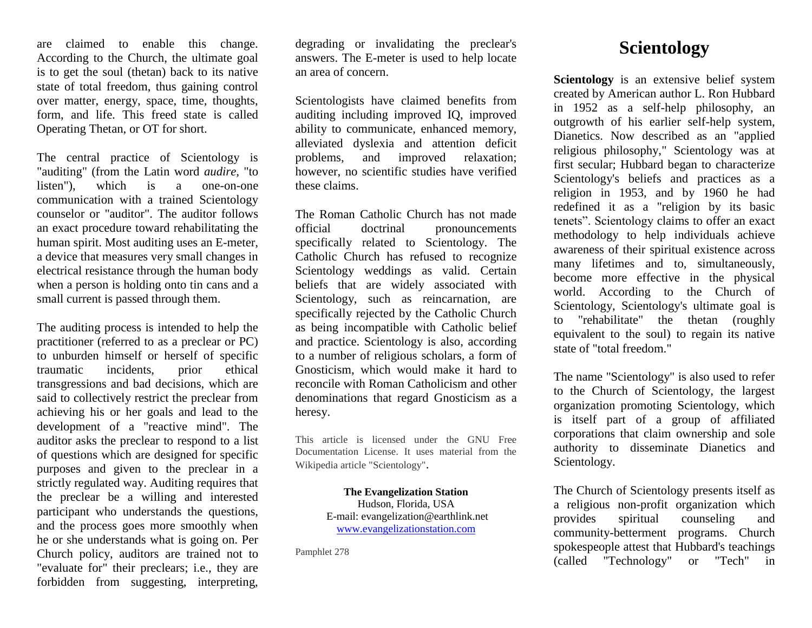are claimed to enable this change. According to the Church, the ultimate goal is to get the soul (thetan) back to its native state of total freedom, thus gaining control over matter, energy, space, time, thoughts, form, and life. This freed state is called Operating Thetan, or OT for short.

The central practice of Scientology is "auditing" (from the Latin word *audire,* "to listen"), which is a one-on-one communication with a trained Scientology counselor or "auditor". The auditor follows an exact procedure toward rehabilitating the human spirit. Most auditing uses an E-meter, a device that measures very small changes in electrical resistance through the human body when a person is holding onto tin cans and a small current is passed through them.

The auditing process is intended to help the practitioner (referred to as a preclear or PC) to unburden himself or herself of specific traumatic incidents, prior ethical transgressions and bad decisions, which are said to collectively restrict the preclear from achieving his or her goals and lead to the development of a "reactive mind". The auditor asks the preclear to respond to a list of questions which are designed for specific purposes and given to the preclear in a strictly regulated way. Auditing requires that the preclear be a willing and interested participant who understands the questions, and the process goes more smoothly when he or she understands what is going on. Per Church policy, auditors are trained not to "evaluate for" their preclears; i.e., they are forbidden from suggesting, interpreting,

degrading or invalidating the preclear's answers. The E-meter is used to help locate an area of concern.

Scientologists have claimed benefits from auditing including improved IQ, improved ability to communicate, enhanced memory, alleviated dyslexia and attention deficit problems, and improved relaxation; however, no scientific studies have verified these claims.

The Roman Catholic Church has not made official doctrinal pronouncements specifically related to Scientology. The Catholic Church has refused to recognize Scientology weddings as valid. Certain beliefs that are widely associated with Scientology, such as reincarnation, are specifically rejected by the Catholic Church as being incompatible with Catholic belief and practice. Scientology is also, according to a number of religious scholars, a form of Gnosticism, which would make it hard to reconcile with Roman Catholicism and other denominations that regard Gnosticism as a heresy.

This article is licensed under the GNU Free Documentation License. It uses material from the Wikipedia article "Scientology".

> **The Evangelization Station** Hudson, Florida, USA E-mail: evangelization@earthlink.net [www.evangelizationstation.com](http://www.pjpiisoe.org/)

Pamphlet 278

## **Scientology**

**Scientology** is an extensive belief system created by American author L. Ron Hubbard in 1952 as a self-help philosophy, an outgrowth of his earlier self-help system, Dianetics. Now described as an "applied religious philosophy," Scientology was at first secular; Hubbard began to characterize Scientology's beliefs and practices as a religion in 1953, and by 1960 he had redefined it as a "religion by its basic tenets". Scientology claims to offer an exact methodology to help individuals achieve awareness of their spiritual existence across many lifetimes and to, simultaneously, become more effective in the physical world. According to the Church of Scientology, Scientology's ultimate goal is to "rehabilitate" the thetan (roughly equivalent to the soul) to regain its native state of "total freedom."

The name "Scientology" is also used to refer to the Church of Scientology, the largest organization promoting Scientology, which is itself part of a group of affiliated corporations that claim ownership and sole authority to disseminate Dianetics and Scientology.

The Church of Scientology presents itself as a religious non-profit organization which provides spiritual counseling and community-betterment programs. Church spokespeople attest that Hubbard's teachings (called "Technology" or "Tech" in